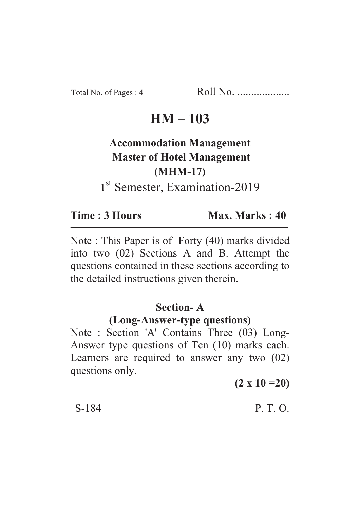Total No. of Pages : 4 Roll No. ...................

## **HM – 103**

# **Accommodation Management Master of Hotel Management (MHM-17)** 1<sup>st</sup> Semester, Examination-2019

**Time : 3 Hours Max. Marks : 40** 

Note : This Paper is of Forty (40) marks divided into two (02) Sections A and B. Attempt the questions contained in these sections according to the detailed instructions given therein.

#### **Section- A**

## **(Long-Answer-type questions)**

Note : Section 'A' Contains Three (03) Long-Answer type questions of Ten (10) marks each. Learners are required to answer any two (02) questions only.

**(2 x 10 =20)**

#### S-184 P. T. O.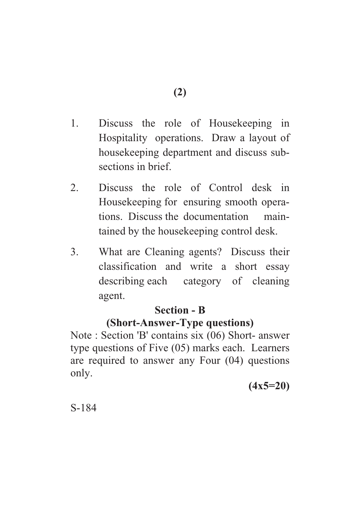- 1. Discuss the role of Housekeeping in Hospitality operations. Draw a layout of housekeeping department and discuss subsections in brief.
- 2. Discuss the role of Control desk in Housekeeping for ensuring smooth operations. Discuss the documentation maintained by the housekeeping control desk.
- 3. What are Cleaning agents? Discuss their classification and write a short essay describing each category of cleaning agent.

#### **Section - B**

## **(Short-Answer-Type questions)**

Note : Section 'B' contains six (06) Short- answer type questions of Five (05) marks each. Learners are required to answer any Four (04) questions only.

**(4x5=20)**

S-184